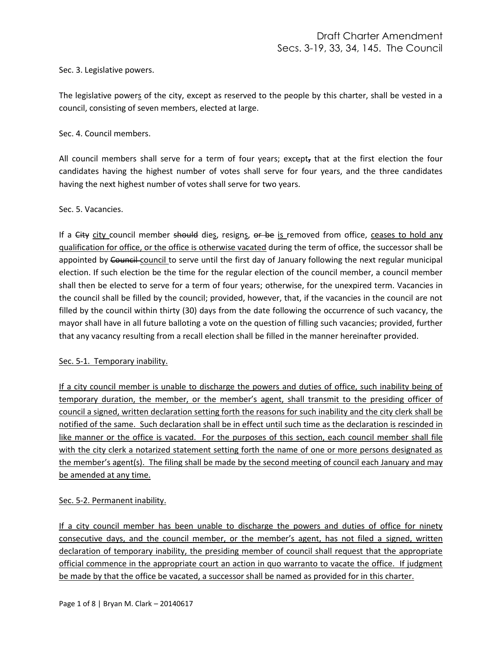Sec. 3. Legislative powers.

The legislative powers of the city, except as reserved to the people by this charter, shall be vested in a council, consisting of seven members, elected at large.

Sec. 4. Council members.

All council members shall serve for a term of four years; except**,** that at the first election the four candidates having the highest number of votes shall serve for four years, and the three candidates having the next highest number of votes shall serve for two years.

Sec. 5. Vacancies.

If a City city council member should dies, resigns, or be is removed from office, ceases to hold any qualification for office, or the office is otherwise vacated during the term of office, the successor shall be appointed by Council council to serve until the first day of January following the next regular municipal election. If such election be the time for the regular election of the council member, a council member shall then be elected to serve for a term of four years; otherwise, for the unexpired term. Vacancies in the council shall be filled by the council; provided, however, that, if the vacancies in the council are not filled by the council within thirty (30) days from the date following the occurrence of such vacancy, the mayor shall have in all future balloting a vote on the question of filling such vacancies; provided, further that any vacancy resulting from a recall election shall be filled in the manner hereinafter provided.

### Sec. 5-1. Temporary inability.

If a city council member is unable to discharge the powers and duties of office, such inability being of temporary duration, the member, or the member's agent, shall transmit to the presiding officer of council a signed, written declaration setting forth the reasons for such inability and the city clerk shall be notified of the same. Such declaration shall be in effect until such time as the declaration is rescinded in like manner or the office is vacated. For the purposes of this section, each council member shall file with the city clerk a notarized statement setting forth the name of one or more persons designated as the member's agent(s). The filing shall be made by the second meeting of council each January and may be amended at any time.

## Sec. 5-2. Permanent inability.

If a city council member has been unable to discharge the powers and duties of office for ninety consecutive days, and the council member, or the member's agent, has not filed a signed, written declaration of temporary inability, the presiding member of council shall request that the appropriate official commence in the appropriate court an action in quo warranto to vacate the office. If judgment be made by that the office be vacated, a successor shall be named as provided for in this charter.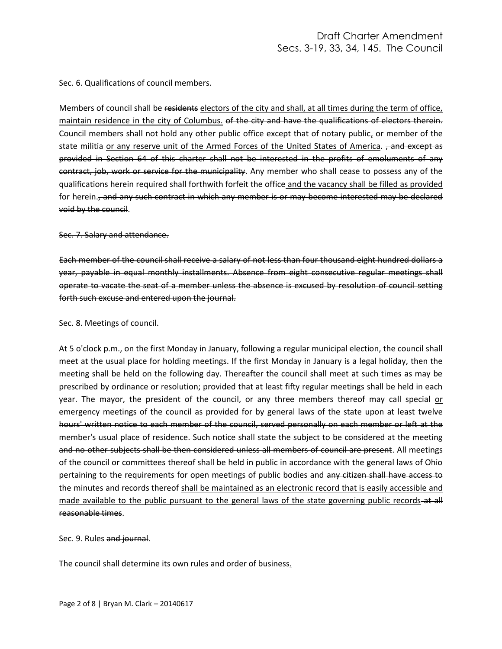Sec. 6. Qualifications of council members.

Members of council shall be residents electors of the city and shall, at all times during the term of office, maintain residence in the city of Columbus. of the city and have the qualifications of electors therein. Council members shall not hold any other public office except that of notary public, or member of the state militia or any reserve unit of the Armed Forces of the United States of America. <del>, and except as</del> provided in Section 64 of this charter shall not be interested in the profits of emoluments of any contract, job, work or service for the municipality. Any member who shall cease to possess any of the qualifications herein required shall forthwith forfeit the office and the vacancy shall be filled as provided for herein., and any such contract in which any member is or may become interested may be declared void by the council.

Sec. 7. Salary and attendance.

Each member of the council shall receive a salary of not less than four thousand eight hundred dollars a year, payable in equal monthly installments. Absence from eight consecutive regular meetings shall operate to vacate the seat of a member unless the absence is excused by resolution of council setting forth such excuse and entered upon the journal.

#### Sec. 8. Meetings of council.

At 5 o'clock p.m., on the first Monday in January, following a regular municipal election, the council shall meet at the usual place for holding meetings. If the first Monday in January is a legal holiday, then the meeting shall be held on the following day. Thereafter the council shall meet at such times as may be prescribed by ordinance or resolution; provided that at least fifty regular meetings shall be held in each year. The mayor, the president of the council, or any three members thereof may call special or emergency meetings of the council as provided for by general laws of the state upon at least twelve hours' written notice to each member of the council, served personally on each member or left at the member's usual place of residence. Such notice shall state the subject to be considered at the meeting and no other subjects shall be then considered unless all members of council are present. All meetings of the council or committees thereof shall be held in public in accordance with the general laws of Ohio pertaining to the requirements for open meetings of public bodies and any citizen shall have access to the minutes and records thereof shall be maintained as an electronic record that is easily accessible and made available to the public pursuant to the general laws of the state governing public records-at all reasonable times.

Sec. 9. Rules and journal.

The council shall determine its own rules and order of business.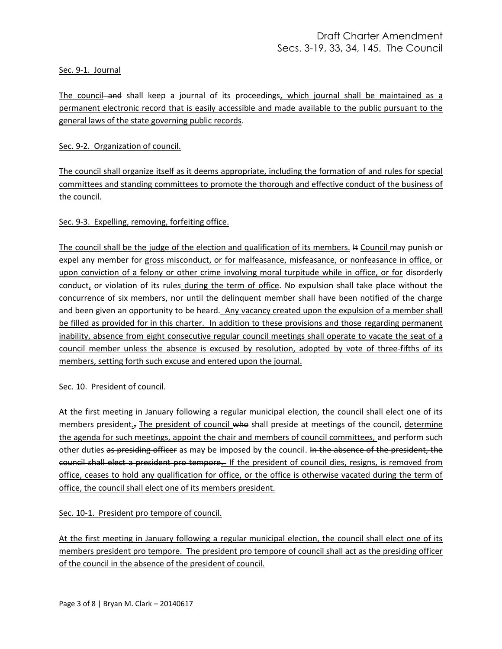### Sec. 9-1. Journal

The council and shall keep a journal of its proceedings, which journal shall be maintained as a permanent electronic record that is easily accessible and made available to the public pursuant to the general laws of the state governing public records.

Sec. 9-2. Organization of council.

The council shall organize itself as it deems appropriate, including the formation of and rules for special committees and standing committees to promote the thorough and effective conduct of the business of the council.

## Sec. 9-3. Expelling, removing, forfeiting office.

The council shall be the judge of the election and qualification of its members. It Council may punish or expel any member for gross misconduct, or for malfeasance, misfeasance, or nonfeasance in office, or upon conviction of a felony or other crime involving moral turpitude while in office, or for disorderly conduct, or violation of its rules during the term of office. No expulsion shall take place without the concurrence of six members, nor until the delinquent member shall have been notified of the charge and been given an opportunity to be heard. Any vacancy created upon the expulsion of a member shall be filled as provided for in this charter. In addition to these provisions and those regarding permanent inability, absence from eight consecutive regular council meetings shall operate to vacate the seat of a council member unless the absence is excused by resolution, adopted by vote of three-fifths of its members, setting forth such excuse and entered upon the journal.

Sec. 10. President of council.

At the first meeting in January following a regular municipal election, the council shall elect one of its members president., The president of council who shall preside at meetings of the council, determine the agenda for such meetings, appoint the chair and members of council committees, and perform such other duties as presiding officer as may be imposed by the council. In the absence of the president, the council shall elect a president pro tempore. If the president of council dies, resigns, is removed from office, ceases to hold any qualification for office, or the office is otherwise vacated during the term of office, the council shall elect one of its members president.

Sec. 10-1. President pro tempore of council.

At the first meeting in January following a regular municipal election, the council shall elect one of its members president pro tempore. The president pro tempore of council shall act as the presiding officer of the council in the absence of the president of council.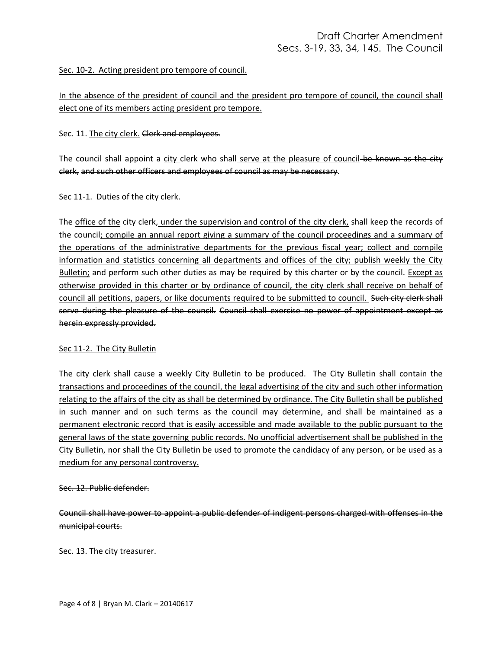### Sec. 10-2. Acting president pro tempore of council.

In the absence of the president of council and the president pro tempore of council, the council shall elect one of its members acting president pro tempore.

### Sec. 11. The city clerk. Clerk and employees.

The council shall appoint a city clerk who shall serve at the pleasure of council-be known as the city clerk, and such other officers and employees of council as may be necessary.

### Sec 11-1. Duties of the city clerk.

The office of the city clerk, under the supervision and control of the city clerk, shall keep the records of the council; compile an annual report giving a summary of the council proceedings and a summary of the operations of the administrative departments for the previous fiscal year; collect and compile information and statistics concerning all departments and offices of the city; publish weekly the City Bulletin; and perform such other duties as may be required by this charter or by the council. Except as otherwise provided in this charter or by ordinance of council, the city clerk shall receive on behalf of council all petitions, papers, or like documents required to be submitted to council. Such city clerk shall serve during the pleasure of the council. Council shall exercise no power of appointment except as herein expressly provided.

## Sec 11-2. The City Bulletin

The city clerk shall cause a weekly City Bulletin to be produced. The City Bulletin shall contain the transactions and proceedings of the council, the legal advertising of the city and such other information relating to the affairs of the city as shall be determined by ordinance. The City Bulletin shall be published in such manner and on such terms as the council may determine, and shall be maintained as a permanent electronic record that is easily accessible and made available to the public pursuant to the general laws of the state governing public records. No unofficial advertisement shall be published in the City Bulletin, nor shall the City Bulletin be used to promote the candidacy of any person, or be used as a medium for any personal controversy.

### Sec. 12. Public defender.

Council shall have power to appoint a public defender of indigent persons charged with offenses in the municipal courts.

Sec. 13. The city treasurer.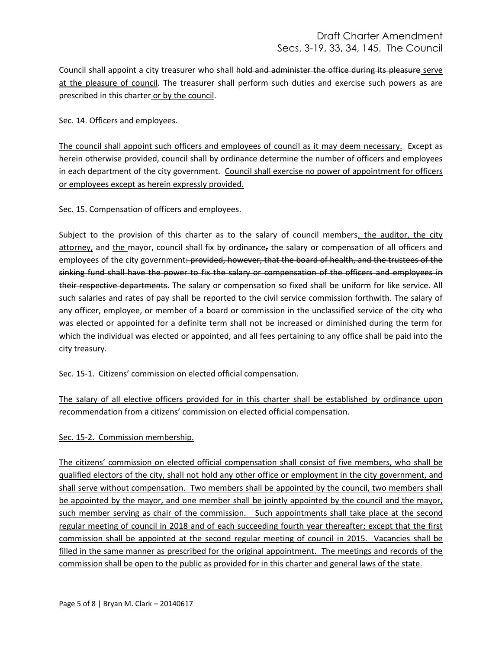Council shall appoint a city treasurer who shall hold and administer the office during its pleasure serve at the pleasure of council. The treasurer shall perform such duties and exercise such powers as are prescribed in this charter or by the council.

Sec. 14. Officers and employees.

The council shall appoint such officers and employees of council as it may deem necessary. Except as herein otherwise provided, council shall by ordinance determine the number of officers and employees in each department of the city government. Council shall exercise no power of appointment for officers or employees except as herein expressly provided.

Sec. 15. Compensation of officers and employees.

Subject to the provision of this charter as to the salary of council members, the auditor, the city attorney, and the mayor, council shall fix by ordinance, the salary or compensation of all officers and employees of the city government: provided, however, that the board of health, and the trustees of the sinking fund shall have the power to fix the salary or compensation of the officers and employees in their respective departments. The salary or compensation so fixed shall be uniform for like service. All such salaries and rates of pay shall be reported to the civil service commission forthwith. The salary of any officer, employee, or member of a board or commission in the unclassified service of the city who was elected or appointed for a definite term shall not be increased or diminished during the term for which the individual was elected or appointed, and all fees pertaining to any office shall be paid into the city treasury.

Sec. 15-1. Citizens' commission on elected official compensation.

The salary of all elective officers provided for in this charter shall be established by ordinance upon recommendation from a citizens' commission on elected official compensation.

## Sec. 15-2. Commission membership.

The citizens' commission on elected official compensation shall consist of five members, who shall be qualified electors of the city, shall not hold any other office or employment in the city government, and shall serve without compensation. Two members shall be appointed by the council, two members shall be appointed by the mayor, and one member shall be jointly appointed by the council and the mayor, such member serving as chair of the commission. Such appointments shall take place at the second regular meeting of council in 2018 and of each succeeding fourth year thereafter; except that the first commission shall be appointed at the second regular meeting of council in 2015. Vacancies shall be filled in the same manner as prescribed for the original appointment. The meetings and records of the commission shall be open to the public as provided for in this charter and general laws of the state.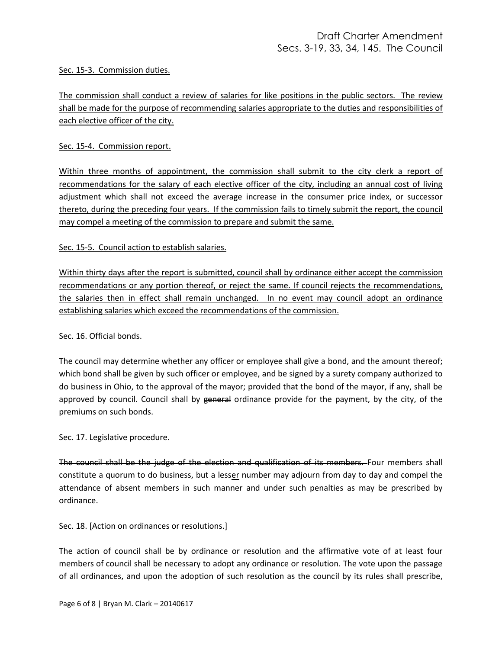### Sec. 15-3. Commission duties.

The commission shall conduct a review of salaries for like positions in the public sectors. The review shall be made for the purpose of recommending salaries appropriate to the duties and responsibilities of each elective officer of the city.

Sec. 15-4. Commission report.

Within three months of appointment, the commission shall submit to the city clerk a report of recommendations for the salary of each elective officer of the city, including an annual cost of living adjustment which shall not exceed the average increase in the consumer price index, or successor thereto, during the preceding four years. If the commission fails to timely submit the report, the council may compel a meeting of the commission to prepare and submit the same.

### Sec. 15-5. Council action to establish salaries.

Within thirty days after the report is submitted, council shall by ordinance either accept the commission recommendations or any portion thereof, or reject the same. If council rejects the recommendations, the salaries then in effect shall remain unchanged. In no event may council adopt an ordinance establishing salaries which exceed the recommendations of the commission.

Sec. 16. Official bonds.

The council may determine whether any officer or employee shall give a bond, and the amount thereof; which bond shall be given by such officer or employee, and be signed by a surety company authorized to do business in Ohio, to the approval of the mayor; provided that the bond of the mayor, if any, shall be approved by council. Council shall by general ordinance provide for the payment, by the city, of the premiums on such bonds.

Sec. 17. Legislative procedure.

The council shall be the judge of the election and qualification of its members. Four members shall constitute a quorum to do business, but a lesser number may adjourn from day to day and compel the attendance of absent members in such manner and under such penalties as may be prescribed by ordinance.

Sec. 18. [Action on ordinances or resolutions.]

The action of council shall be by ordinance or resolution and the affirmative vote of at least four members of council shall be necessary to adopt any ordinance or resolution. The vote upon the passage of all ordinances, and upon the adoption of such resolution as the council by its rules shall prescribe,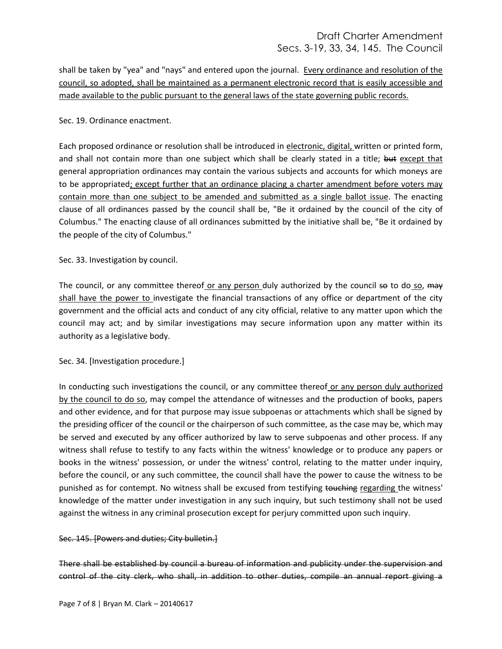# Draft Charter Amendment Secs. 3-19, 33, 34, 145. The Council

shall be taken by "yea" and "nays" and entered upon the journal. Every ordinance and resolution of the council, so adopted, shall be maintained as a permanent electronic record that is easily accessible and made available to the public pursuant to the general laws of the state governing public records.

### Sec. 19. Ordinance enactment.

Each proposed ordinance or resolution shall be introduced in electronic, digital, written or printed form, and shall not contain more than one subject which shall be clearly stated in a title; but except that general appropriation ordinances may contain the various subjects and accounts for which moneys are to be appropriated; except further that an ordinance placing a charter amendment before voters may contain more than one subject to be amended and submitted as a single ballot issue. The enacting clause of all ordinances passed by the council shall be, "Be it ordained by the council of the city of Columbus." The enacting clause of all ordinances submitted by the initiative shall be, "Be it ordained by the people of the city of Columbus."

### Sec. 33. Investigation by council.

The council, or any committee thereof or any person duly authorized by the council so to do so, may shall have the power to investigate the financial transactions of any office or department of the city government and the official acts and conduct of any city official, relative to any matter upon which the council may act; and by similar investigations may secure information upon any matter within its authority as a legislative body.

## Sec. 34. [Investigation procedure.]

In conducting such investigations the council, or any committee thereof or any person duly authorized by the council to do so, may compel the attendance of witnesses and the production of books, papers and other evidence, and for that purpose may issue subpoenas or attachments which shall be signed by the presiding officer of the council or the chairperson of such committee, as the case may be, which may be served and executed by any officer authorized by law to serve subpoenas and other process. If any witness shall refuse to testify to any facts within the witness' knowledge or to produce any papers or books in the witness' possession, or under the witness' control, relating to the matter under inquiry, before the council, or any such committee, the council shall have the power to cause the witness to be punished as for contempt. No witness shall be excused from testifying touching regarding the witness' knowledge of the matter under investigation in any such inquiry, but such testimony shall not be used against the witness in any criminal prosecution except for perjury committed upon such inquiry.

### Sec. 145. [Powers and duties; City bulletin.]

There shall be established by council a bureau of information and publicity under the supervision and control of the city clerk, who shall, in addition to other duties, compile an annual report giving a